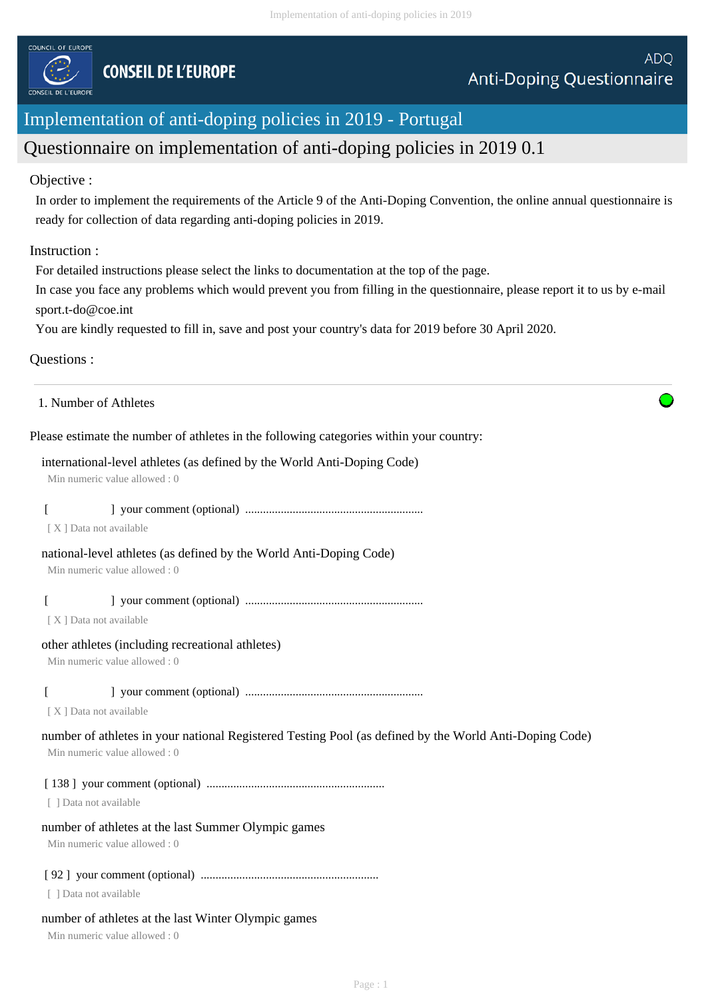

# Implementation of anti-doping policies in 2019 - Portugal

# Questionnaire on implementation of anti-doping policies in 2019 0.1

## Objective :

In order to implement the requirements of the Article 9 of the Anti-Doping Convention, the online annual questionnaire is ready for collection of data regarding anti-doping policies in 2019.

## Instruction :

For detailed instructions please select the links to documentation at the top of the page.

In case you face any problems which would prevent you from filling in the questionnaire, please report it to us by e-mail sport.t-do@coe.int

You are kindly requested to fill in, save and post your country's data for 2019 before 30 April 2020.

# Questions :

1. Number of Athletes

Please estimate the number of athletes in the following categories within your country:

## international-level athletes (as defined by the World Anti-Doping Code)

Min numeric value allowed : 0

[ ] your comment (optional) ............................................................

[ X ] Data not available

# national-level athletes (as defined by the World Anti-Doping Code)

Min numeric value allowed : 0

[ ] your comment (optional) ............................................................

[ X ] Data not available

## other athletes (including recreational athletes)

Min numeric value allowed : 0

# [ ] your comment (optional) ............................................................

[ X ] Data not available

#### number of athletes in your national Registered Testing Pool (as defined by the World Anti-Doping Code) Min numeric value allowed : 0

[ 138 ] your comment (optional) ............................................................

[ ] Data not available

## number of athletes at the last Summer Olympic games

Min numeric value allowed : 0

## [ 92 ] your comment (optional) ............................................................

[ ] Data not available

## number of athletes at the last Winter Olympic games

Min numeric value allowed : 0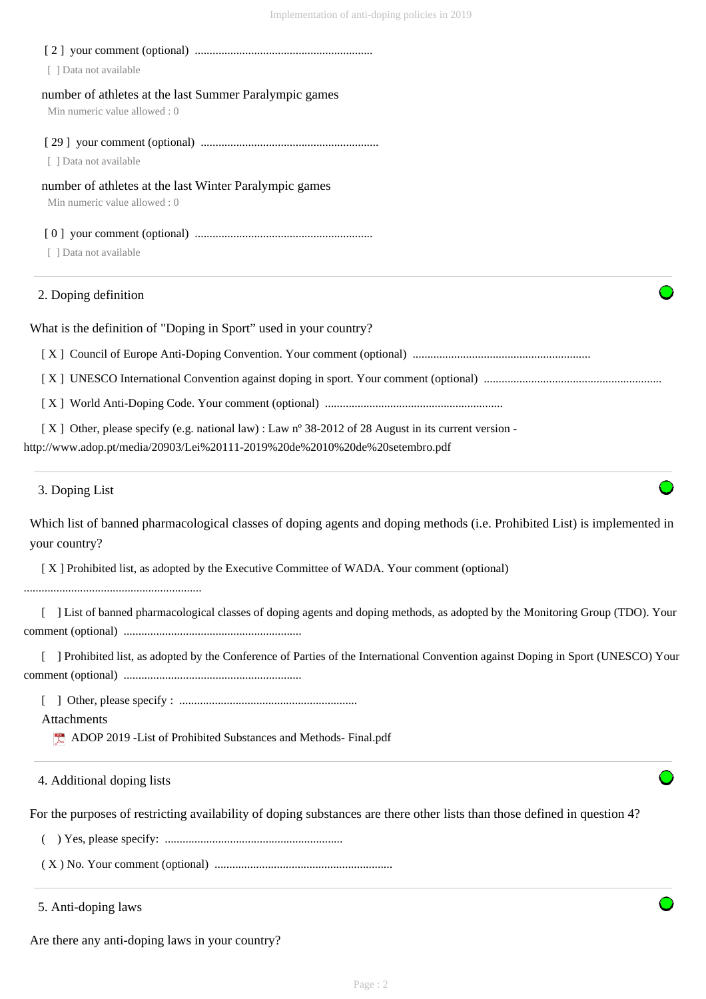| 3. Doping List                                                                                       |
|------------------------------------------------------------------------------------------------------|
| http://www.adop.pt/media/20903/Lei%20111-2019%20de%2010%20de%20setembro.pdf                          |
| [X] Other, please specify (e.g. national law) : Law n° 38-2012 of 28 August in its current version - |
|                                                                                                      |
|                                                                                                      |
|                                                                                                      |
| What is the definition of "Doping in Sport" used in your country?                                    |
| 2. Doping definition                                                                                 |
| [ ] Data not available                                                                               |
|                                                                                                      |
| Min numeric value allowed: 0                                                                         |
| number of athletes at the last Winter Paralympic games                                               |
| [ ] Data not available                                                                               |
|                                                                                                      |
| Min numeric value allowed: 0                                                                         |
| number of athletes at the last Summer Paralympic games                                               |
| [ ] Data not available                                                                               |
|                                                                                                      |

Which list of banned pharmacological classes of doping agents and doping methods (i.e. Prohibited List) is implemented in your country?

[ X ] Prohibited list, as adopted by the Executive Committee of WADA. Your comment (optional)

............................................................

[ ] List of banned pharmacological classes of doping agents and doping methods, as adopted by the Monitoring Group (TDO). Your comment (optional) ............................................................

[ ] Prohibited list, as adopted by the Conference of Parties of the International Convention against Doping in Sport (UNESCO) Your comment (optional) ............................................................

[ ] Other, please specify : ............................................................

Attachments

ADOP 2019 -List of Prohibited Substances and Methods- Final.pdf

4. Additional doping lists

For the purposes of restricting availability of doping substances are there other lists than those defined in question 4?

( ) Yes, please specify: ............................................................

( X ) No. Your comment (optional) ............................................................

5. Anti-doping laws

Are there any anti-doping laws in your country?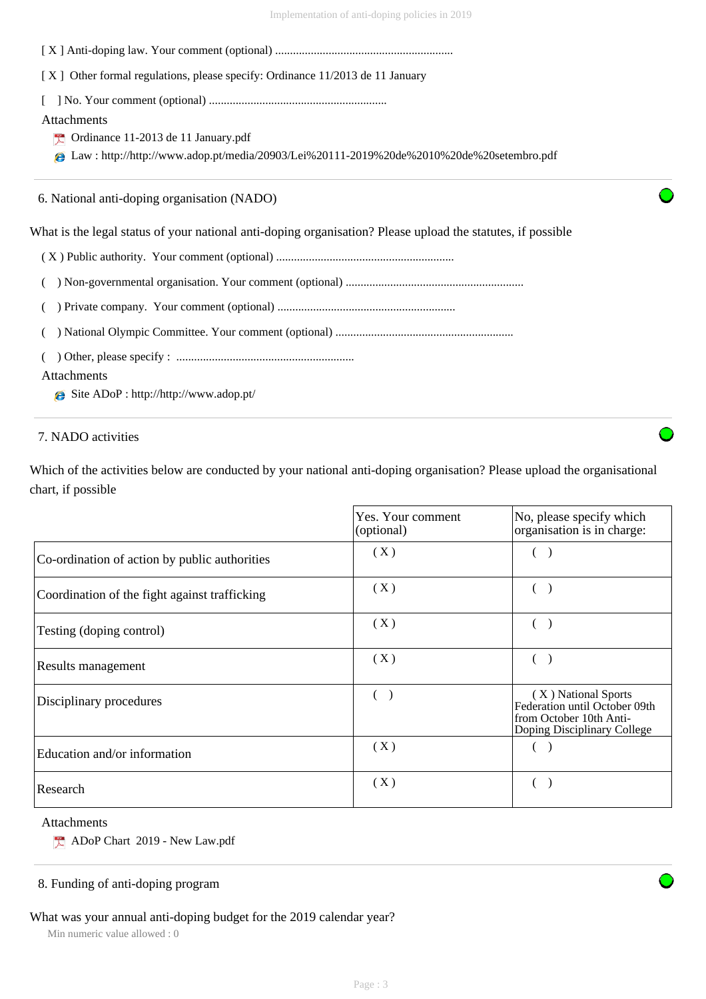| [X] Other formal regulations, please specify: Ordinance 11/2013 de 11 January                                                                                       |  |
|---------------------------------------------------------------------------------------------------------------------------------------------------------------------|--|
| Attachments<br>$\triangleright$ Ordinance 11-2013 de 11 January.pdf<br>Law: http://http://www.adop.pt/media/20903/Lei%20111-2019%20de%2010%20de%20setembro.pdf<br>e |  |
| 6. National anti-doping organisation (NADO)                                                                                                                         |  |
| What is the legal status of your national anti-doping organisation? Please upload the statutes, if possible                                                         |  |
|                                                                                                                                                                     |  |
|                                                                                                                                                                     |  |
|                                                                                                                                                                     |  |
|                                                                                                                                                                     |  |
| <b>Attachments</b>                                                                                                                                                  |  |

Site ADoP : http://http://www.adop.pt/

7. NADO activities

Which of the activities below are conducted by your national anti-doping organisation? Please upload the organisational chart, if possible

|                                               | Yes. Your comment<br>(optional) | No, please specify which<br>organisation is in charge:                                                         |
|-----------------------------------------------|---------------------------------|----------------------------------------------------------------------------------------------------------------|
| Co-ordination of action by public authorities | (X)                             |                                                                                                                |
| Coordination of the fight against trafficking | (X)                             |                                                                                                                |
| Testing (doping control)                      | (X)                             |                                                                                                                |
| Results management                            | (X)                             |                                                                                                                |
| Disciplinary procedures                       |                                 | (X) National Sports<br>Federation until October 09th<br>from October 10th Anti-<br>Doping Disciplinary College |
| Education and/or information                  | (X)                             |                                                                                                                |
| Research                                      | (X)                             |                                                                                                                |

#### Attachments

ADoP Chart 2019 - New Law.pdf

# 8. Funding of anti-doping program

What was your annual anti-doping budget for the 2019 calendar year?

Min numeric value allowed : 0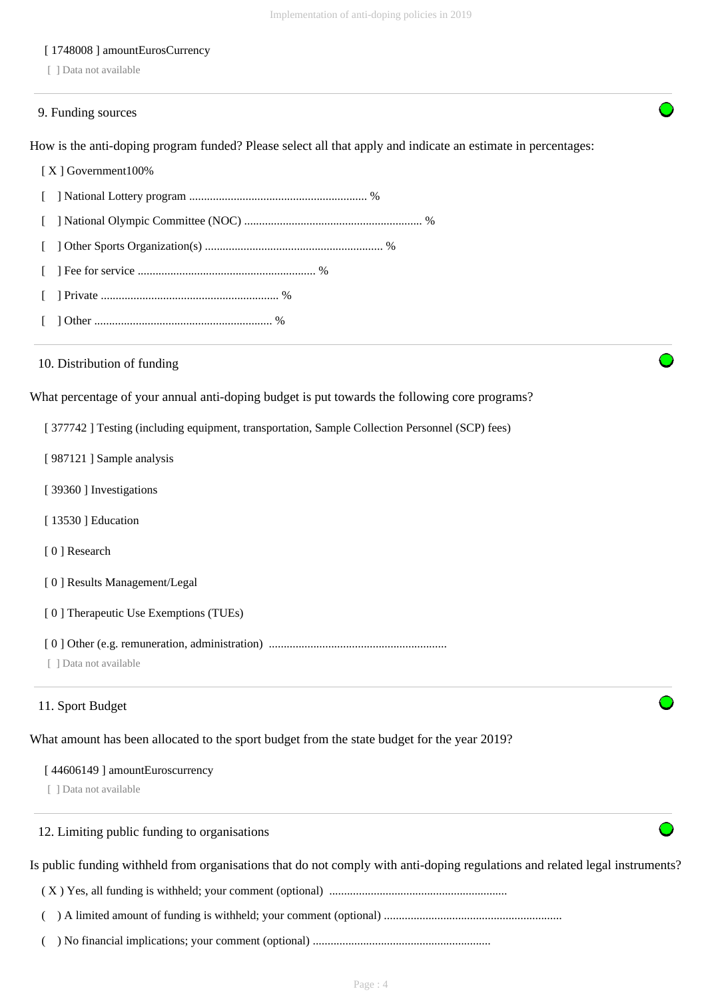#### [ 1748008 ] amountEurosCurrency

[ ] Data not available

#### 9. Funding sources

How is the anti-doping program funded? Please select all that apply and indicate an estimate in percentages:

#### [ X ] Government100%

 [ ] National Lottery program ............................................................ % [ ] National Olympic Committee (NOC) ............................................................ % [ ] Other Sports Organization(s) ............................................................ % [ ] Fee for service ............................................................ % [ ] Private ............................................................ % [ ] Other ............................................................ %

#### 10. Distribution of funding

What percentage of your annual anti-doping budget is put towards the following core programs?

[ 377742 ] Testing (including equipment, transportation, Sample Collection Personnel (SCP) fees)

- [ 987121 ] Sample analysis
- [ 39360 ] Investigations
- [ 13530 ] Education
- [ 0 ] Research
- [ 0 ] Results Management/Legal

[ 0 ] Therapeutic Use Exemptions (TUEs)

- [ 0 ] Other (e.g. remuneration, administration) ............................................................
- [ ] Data not available

#### 11. Sport Budget

What amount has been allocated to the sport budget from the state budget for the year 2019?

## [ 44606149 ] amountEuroscurrency

[ ] Data not available

# 12. Limiting public funding to organisations

Is public funding withheld from organisations that do not comply with anti-doping regulations and related legal instruments?

( X ) Yes, all funding is withheld; your comment (optional) ............................................................

( ) A limited amount of funding is withheld; your comment (optional) ............................................................

( ) No financial implications; your comment (optional) ............................................................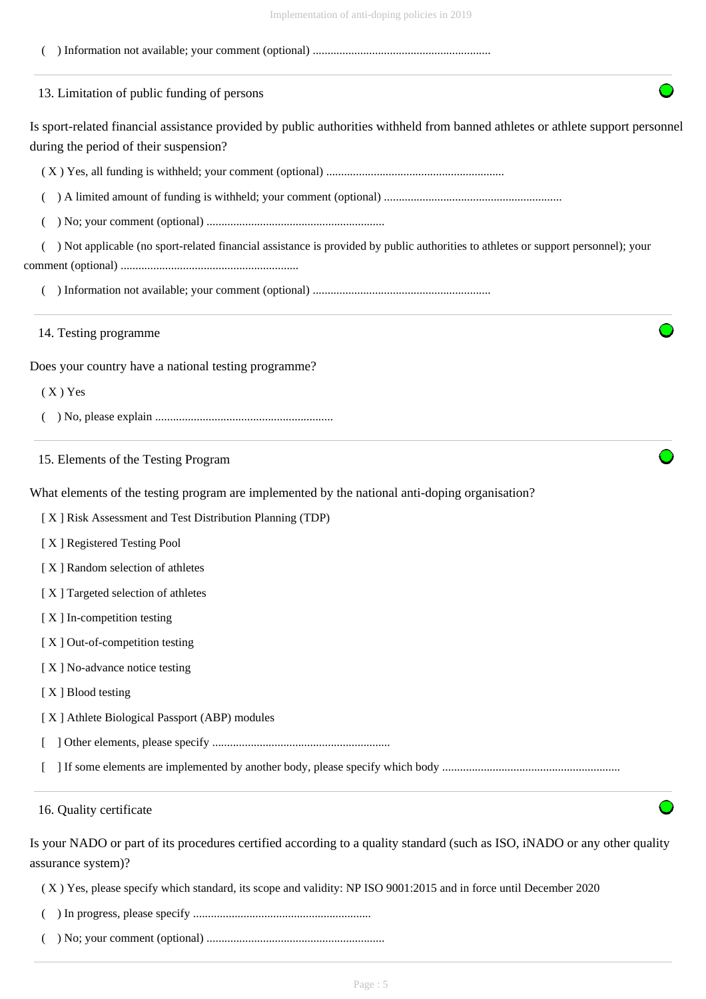| IIIIpiuinuutuu ol alli-uopilig poliuus III 201,                                                                                                                           |
|---------------------------------------------------------------------------------------------------------------------------------------------------------------------------|
|                                                                                                                                                                           |
| 13. Limitation of public funding of persons                                                                                                                               |
| Is sport-related financial assistance provided by public authorities withheld from banned athletes or athlete support personnel<br>during the period of their suspension? |
|                                                                                                                                                                           |
|                                                                                                                                                                           |
|                                                                                                                                                                           |
| ) Not applicable (no sport-related financial assistance is provided by public authorities to athletes or support personnel); your                                         |
|                                                                                                                                                                           |
| 14. Testing programme                                                                                                                                                     |
| Does your country have a national testing programme?                                                                                                                      |
| $(X)$ Yes                                                                                                                                                                 |
|                                                                                                                                                                           |
| 15. Elements of the Testing Program                                                                                                                                       |
| What elements of the testing program are implemented by the national anti-doping organisation?                                                                            |
| [X] Risk Assessment and Test Distribution Planning (TDP)                                                                                                                  |
| [X] Registered Testing Pool                                                                                                                                               |
| [X] Random selection of athletes                                                                                                                                          |
| [X] Targeted selection of athletes                                                                                                                                        |
| [X] In-competition testing                                                                                                                                                |
| [X] Out-of-competition testing                                                                                                                                            |
| [X] No-advance notice testing                                                                                                                                             |
| [X] Blood testing                                                                                                                                                         |
| [X] Athlete Biological Passport (ABP) modules                                                                                                                             |
|                                                                                                                                                                           |
|                                                                                                                                                                           |
| 16. Quality certificate                                                                                                                                                   |
| Is your NADO or part of its procedures certified according to a quality standard (such as ISO, iNADO or any other quality<br>assurance system)?                           |

( X ) Yes, please specify which standard, its scope and validity: NP ISO 9001:2015 and in force until December 2020

- ( ) In progress, please specify ............................................................
- ( ) No; your comment (optional) ............................................................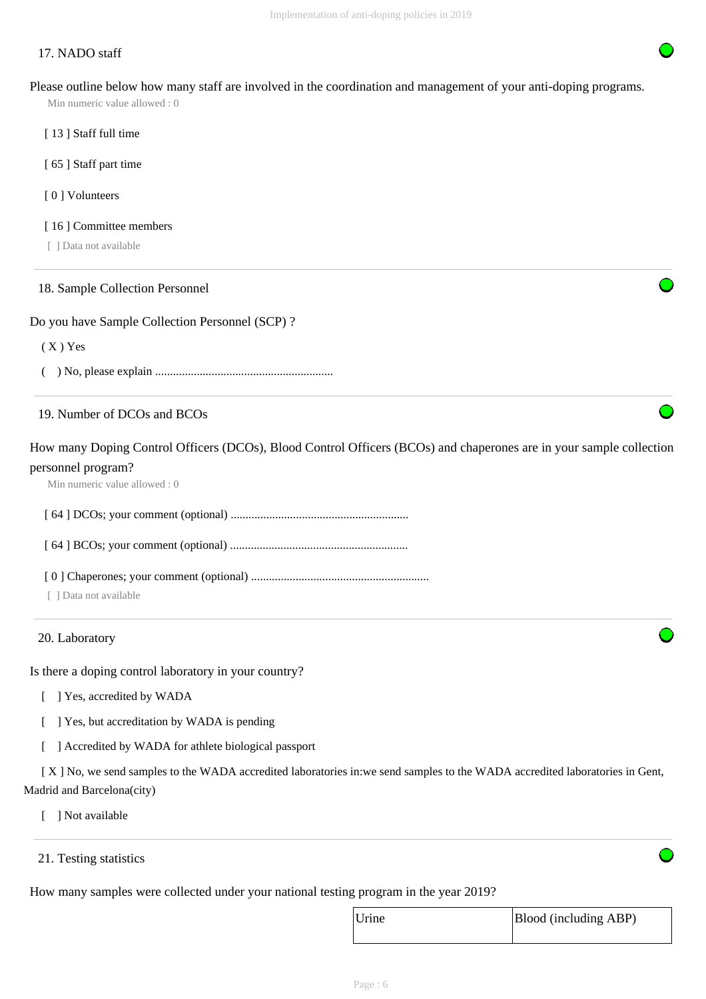# 17. NADO staff

Please outline below how many staff are involved in the coordination and management of your anti-doping programs.

Min numeric value allowed : 0

- [13] Staff full time
- [ 65 ] Staff part time
- [ 0 ] Volunteers
- [16] Committee members
- [ ] Data not available

#### 18. Sample Collection Personnel

#### Do you have Sample Collection Personnel (SCP) ?

 $(X)$  Yes

( ) No, please explain ............................................................

# 19. Number of DCOs and BCOs

How many Doping Control Officers (DCOs), Blood Control Officers (BCOs) and chaperones are in your sample collection personnel program?

Min numeric value allowed : 0

[ 64 ] DCOs; your comment (optional) ............................................................

[ 64 ] BCOs; your comment (optional) ............................................................

- [ 0 ] Chaperones; your comment (optional) ............................................................
- [ ] Data not available

#### 20. Laboratory

Is there a doping control laboratory in your country?

- [ ] Yes, accredited by WADA
- [ ] Yes, but accreditation by WADA is pending
- [ ] Accredited by WADA for athlete biological passport

 [ X ] No, we send samples to the WADA accredited laboratories in:we send samples to the WADA accredited laboratories in Gent, Madrid and Barcelona(city)

- [ ] Not available
- 21. Testing statistics

How many samples were collected under your national testing program in the year 2019?

| Urine | Blood (including ABP) |
|-------|-----------------------|
|       |                       |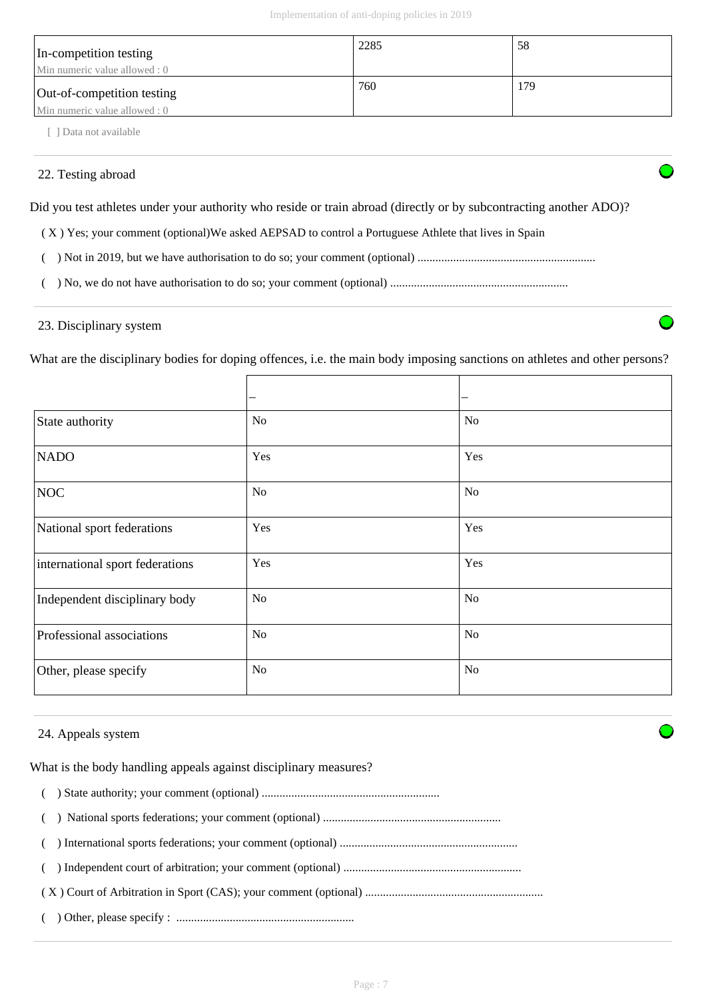| In-competition testing<br>Min numeric value allowed : 0     | 2285 | 58  |
|-------------------------------------------------------------|------|-----|
| Out-of-competition testing<br>Min numeric value allowed : 0 | 760  | 179 |

[ ] Data not available

# 22. Testing abroad

Did you test athletes under your authority who reside or train abroad (directly or by subcontracting another ADO)?

( X ) Yes; your comment (optional)We asked AEPSAD to control a Portuguese Athlete that lives in Spain

( ) Not in 2019, but we have authorisation to do so; your comment (optional) ............................................................

( ) No, we do not have authorisation to do so; your comment (optional) ............................................................

## 23. Disciplinary system

What are the disciplinary bodies for doping offences, i.e. the main body imposing sanctions on athletes and other persons?

|                                 |                | -              |
|---------------------------------|----------------|----------------|
| State authority                 | <b>No</b>      | N <sub>o</sub> |
| <b>NADO</b>                     | Yes            | Yes            |
| <b>NOC</b>                      | <b>No</b>      | N <sub>o</sub> |
| National sport federations      | Yes            | Yes            |
| international sport federations | Yes            | Yes            |
| Independent disciplinary body   | <b>No</b>      | <b>No</b>      |
| Professional associations       | <b>No</b>      | N <sub>o</sub> |
| Other, please specify           | N <sub>o</sub> | N <sub>o</sub> |

## 24. Appeals system

What is the body handling appeals against disciplinary measures?

( ) State authority; your comment (optional) ............................................................

( ) National sports federations; your comment (optional) ............................................................

( ) International sports federations; your comment (optional) ............................................................

( ) Independent court of arbitration; your comment (optional) ............................................................

( X ) Court of Arbitration in Sport (CAS); your comment (optional) ............................................................

( ) Other, please specify : ............................................................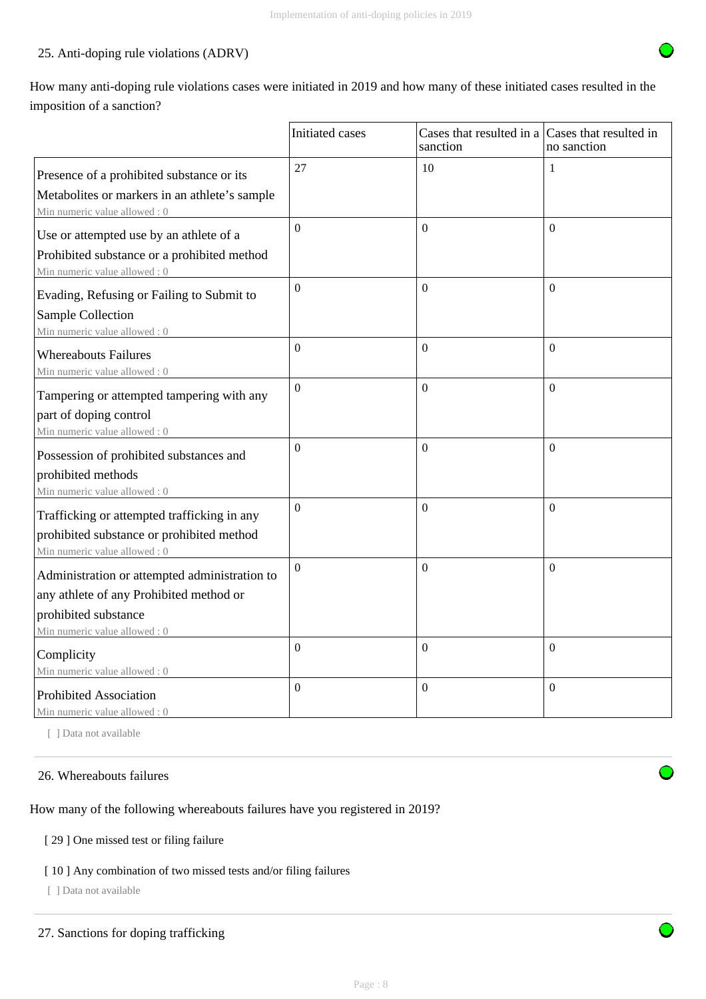# 25. Anti-doping rule violations (ADRV)

How many anti-doping rule violations cases were initiated in 2019 and how many of these initiated cases resulted in the imposition of a sanction?

|                                                                                                                                                  | Initiated cases | Cases that resulted in a Cases that resulted in<br>sanction | no sanction    |
|--------------------------------------------------------------------------------------------------------------------------------------------------|-----------------|-------------------------------------------------------------|----------------|
| Presence of a prohibited substance or its<br>Metabolites or markers in an athlete's sample<br>Min numeric value allowed: 0                       | 27              | 10                                                          | 1              |
| Use or attempted use by an athlete of a<br>Prohibited substance or a prohibited method<br>Min numeric value allowed: 0                           | $\Omega$        | $\mathbf{0}$                                                | $\Omega$       |
| Evading, Refusing or Failing to Submit to<br>Sample Collection<br>Min numeric value allowed: 0                                                   | $\overline{0}$  | $\Omega$                                                    | $\Omega$       |
| <b>Whereabouts Failures</b><br>Min numeric value allowed: 0                                                                                      | $\theta$        | $\Omega$                                                    | $\Omega$       |
| Tampering or attempted tampering with any<br>part of doping control<br>Min numeric value allowed: 0                                              | $\overline{0}$  | $\mathbf{0}$                                                | $\mathbf{0}$   |
| Possession of prohibited substances and<br>prohibited methods<br>Min numeric value allowed: 0                                                    | $\Omega$        | $\boldsymbol{0}$                                            | $\Omega$       |
| Trafficking or attempted trafficking in any<br>prohibited substance or prohibited method<br>Min numeric value allowed: 0                         | $\Omega$        | $\Omega$                                                    | $\Omega$       |
| Administration or attempted administration to<br>any athlete of any Prohibited method or<br>prohibited substance<br>Min numeric value allowed: 0 | $\Omega$        | $\Omega$                                                    | $\Omega$       |
| Complicity<br>Min numeric value allowed: 0                                                                                                       | $\overline{0}$  | $\boldsymbol{0}$                                            | $\overline{0}$ |
| <b>Prohibited Association</b><br>Min numeric value allowed: 0                                                                                    | $\overline{0}$  | $\mathbf{0}$                                                | $\mathbf{0}$   |

[ ] Data not available

#### 26. Whereabouts failures

How many of the following whereabouts failures have you registered in 2019?

#### [ 29 ] One missed test or filing failure

#### [ 10 ] Any combination of two missed tests and/or filing failures

[ ] Data not available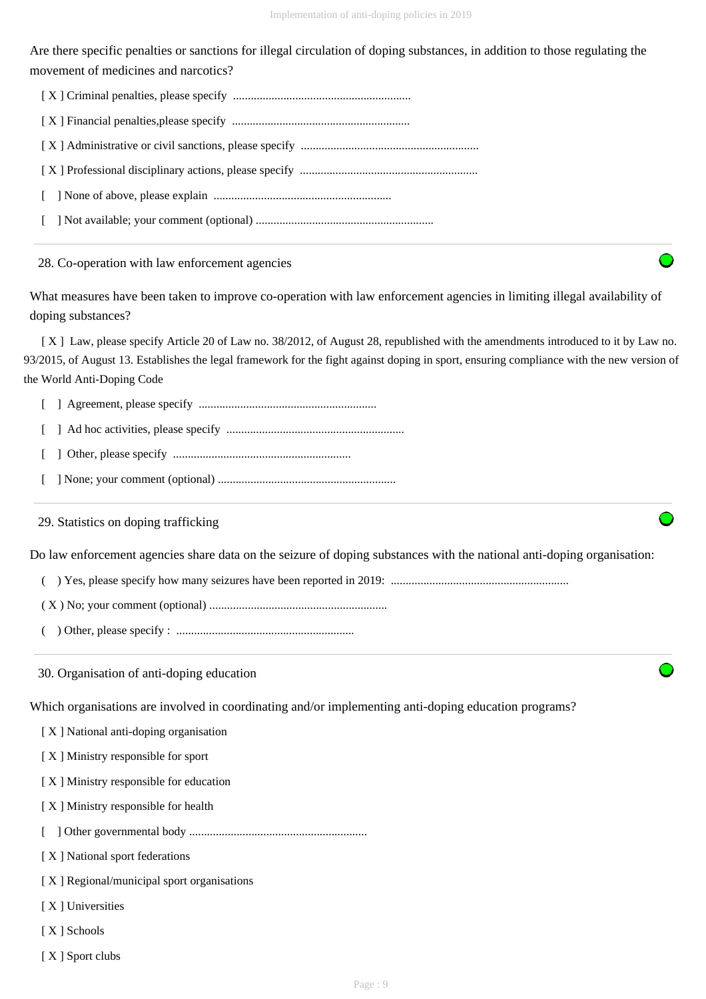Are there specific penalties or sanctions for illegal circulation of doping substances, in addition to those regulating the movement of medicines and narcotics?

| $\mathbf{L}$ |
|--------------|
|              |

28. Co-operation with law enforcement agencies

What measures have been taken to improve co-operation with law enforcement agencies in limiting illegal availability of doping substances?

 [ X ] Law, please specify Article 20 of Law no. 38/2012, of August 28, republished with the amendments introduced to it by Law no. 93/2015, of August 13. Establishes the legal framework for the fight against doping in sport, ensuring compliance with the new version of the World Anti-Doping Code

[ ] Agreement, please specify ............................................................

- [ ] Ad hoc activities, please specify ............................................................
- [ ] Other, please specify ............................................................
- [ ] None; your comment (optional) ............................................................

29. Statistics on doping trafficking

Do law enforcement agencies share data on the seizure of doping substances with the national anti-doping organisation:

( ) Yes, please specify how many seizures have been reported in 2019: ............................................................

- ( X ) No; your comment (optional) ............................................................
- ( ) Other, please specify : ............................................................
- 30. Organisation of anti-doping education

Which organisations are involved in coordinating and/or implementing anti-doping education programs?

- [ X ] National anti-doping organisation
- [ X ] Ministry responsible for sport
- [ X ] Ministry responsible for education
- [ X ] Ministry responsible for health
- [ ] Other governmental body ............................................................
- [ X ] National sport federations
- [X] Regional/municipal sport organisations
- [ X ] Universities
- [ X ] Schools
- [ X ] Sport clubs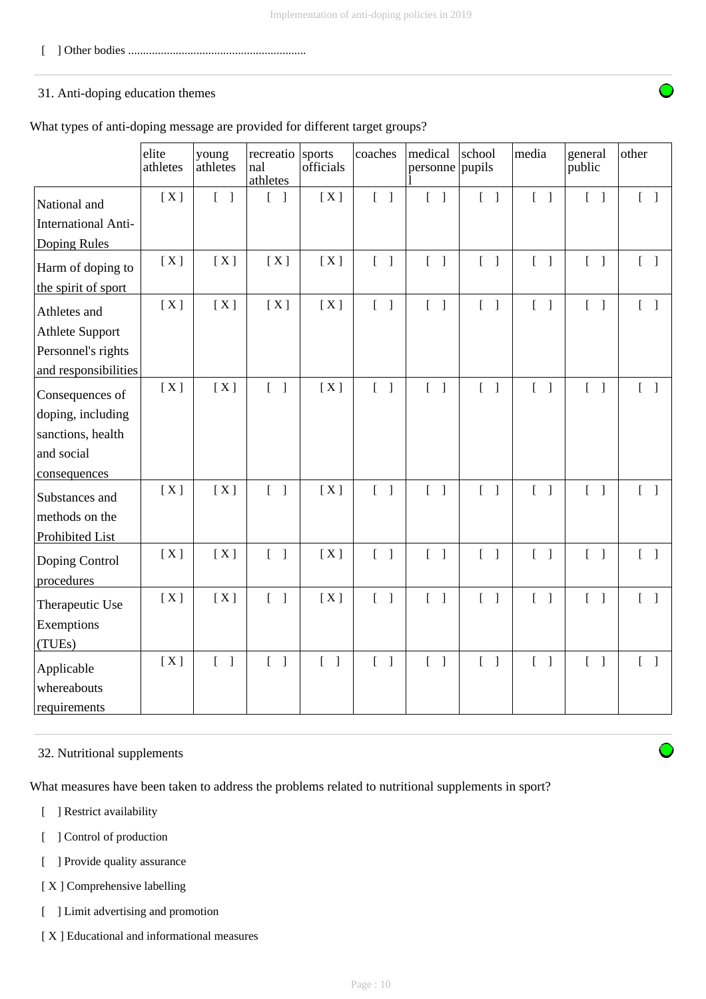[ ] Other bodies ............................................................

# 31. Anti-doping education themes

What types of anti-doping message are provided for different target groups?

|                                            | elite<br>athletes | young<br>athletes | recreatio<br>nal<br>athletes               | sports<br>officials               | coaches                           | medical<br>personne pupils        | school                            | media                             | general<br>public                 | other                             |
|--------------------------------------------|-------------------|-------------------|--------------------------------------------|-----------------------------------|-----------------------------------|-----------------------------------|-----------------------------------|-----------------------------------|-----------------------------------|-----------------------------------|
| National and<br><b>International Anti-</b> | [X]               | $[ \ ]$           | $\begin{bmatrix} 1 \end{bmatrix}$          | [X]                               | $[\ ]$                            | $\begin{bmatrix} 1 \end{bmatrix}$ | $\begin{bmatrix} 1 \end{bmatrix}$ | $[ \ ]$                           | $\begin{bmatrix} 1 \end{bmatrix}$ | $[ \ ]$                           |
| Doping Rules                               |                   |                   |                                            |                                   |                                   |                                   |                                   |                                   |                                   |                                   |
| Harm of doping to                          | [X]               | [X]               | [X]                                        | [X]                               | $[\ ]$                            | $\begin{bmatrix} 1 \end{bmatrix}$ | $[$ $]$                           | $\begin{bmatrix} 1 \end{bmatrix}$ | $\begin{bmatrix} 1 \end{bmatrix}$ | $\begin{bmatrix} 1 \end{bmatrix}$ |
| the spirit of sport                        |                   |                   |                                            |                                   |                                   |                                   |                                   |                                   |                                   |                                   |
| Athletes and                               | [X]               | [X]               | [X]                                        | [X]                               | $\begin{bmatrix} 1 \end{bmatrix}$ | $\begin{bmatrix} 1 \end{bmatrix}$ | $\begin{bmatrix} 1 \end{bmatrix}$ | $\begin{bmatrix} 1 \end{bmatrix}$ | $\begin{bmatrix} 1 \end{bmatrix}$ | $\begin{bmatrix} 1 \end{bmatrix}$ |
| <b>Athlete Support</b>                     |                   |                   |                                            |                                   |                                   |                                   |                                   |                                   |                                   |                                   |
| Personnel's rights                         |                   |                   |                                            |                                   |                                   |                                   |                                   |                                   |                                   |                                   |
| and responsibilities                       |                   |                   |                                            |                                   |                                   |                                   |                                   |                                   |                                   |                                   |
| Consequences of                            | [X]               | [X]               | $\begin{bmatrix} 1 \end{bmatrix}$          | [X]                               | $\begin{bmatrix} 1 \end{bmatrix}$ | $\begin{bmatrix} 1 \end{bmatrix}$ | $\begin{bmatrix} 1 \end{bmatrix}$ | $\begin{bmatrix} 1 \end{bmatrix}$ | $\begin{bmatrix} 1 \end{bmatrix}$ | $\begin{bmatrix} 1 \end{bmatrix}$ |
| doping, including                          |                   |                   |                                            |                                   |                                   |                                   |                                   |                                   |                                   |                                   |
| sanctions, health                          |                   |                   |                                            |                                   |                                   |                                   |                                   |                                   |                                   |                                   |
| and social                                 |                   |                   |                                            |                                   |                                   |                                   |                                   |                                   |                                   |                                   |
| consequences                               |                   |                   |                                            |                                   |                                   |                                   |                                   |                                   |                                   |                                   |
| Substances and                             | [X]               | [X]               | $\begin{bmatrix} 1 \end{bmatrix}$          | [X]                               | $\begin{bmatrix} 1 \end{bmatrix}$ | $\begin{bmatrix} 1 \end{bmatrix}$ | $\begin{bmatrix} 1 \end{bmatrix}$ | $[ \ ]$                           | $\begin{bmatrix} 1 \end{bmatrix}$ | $\begin{bmatrix} 1 \end{bmatrix}$ |
| methods on the                             |                   |                   |                                            |                                   |                                   |                                   |                                   |                                   |                                   |                                   |
| Prohibited List                            |                   |                   |                                            |                                   |                                   |                                   |                                   |                                   |                                   |                                   |
| Doping Control<br>procedures               | [X]               | [X]               | $\begin{bmatrix} 1 \end{bmatrix}$          | [X]                               | $\begin{bmatrix} 1 \end{bmatrix}$ | $\begin{bmatrix} 1 \end{bmatrix}$ | $\begin{bmatrix} 1 \end{bmatrix}$ | $\begin{bmatrix} 1 \end{bmatrix}$ | $\begin{bmatrix} 1 \end{bmatrix}$ | $\begin{bmatrix} 1 \end{bmatrix}$ |
| Therapeutic Use                            | [X]               | [X]               | $\begin{bmatrix} 1 \end{bmatrix}$          | [X]                               | $[\ ]$                            | $\begin{bmatrix} 1 \end{bmatrix}$ | $\begin{bmatrix} 1 \end{bmatrix}$ | $\begin{bmatrix} 1 \end{bmatrix}$ | $\begin{bmatrix} 1 \end{bmatrix}$ | $\begin{bmatrix} 1 \end{bmatrix}$ |
| Exemptions                                 |                   |                   |                                            |                                   |                                   |                                   |                                   |                                   |                                   |                                   |
| (TUEs)                                     |                   |                   |                                            |                                   |                                   |                                   |                                   |                                   |                                   |                                   |
| Applicable                                 | [X]               | $[$ $]$           | $\overline{L}$<br>$\overline{\phantom{a}}$ | $\begin{bmatrix} 1 \end{bmatrix}$ | $[\ ]$                            | $\begin{bmatrix} 1 \end{bmatrix}$ | $\begin{bmatrix} 1 \end{bmatrix}$ | $\begin{bmatrix} 1 \end{bmatrix}$ | $\begin{bmatrix} 1 \end{bmatrix}$ | $\begin{bmatrix} 1 \end{bmatrix}$ |
| whereabouts<br>requirements                |                   |                   |                                            |                                   |                                   |                                   |                                   |                                   |                                   |                                   |

## 32. Nutritional supplements

What measures have been taken to address the problems related to nutritional supplements in sport?

- [ ] Restrict availability
- [ ] Control of production
- [ ] Provide quality assurance
- [ X ] Comprehensive labelling
- [ ] Limit advertising and promotion
- [ X ] Educational and informational measures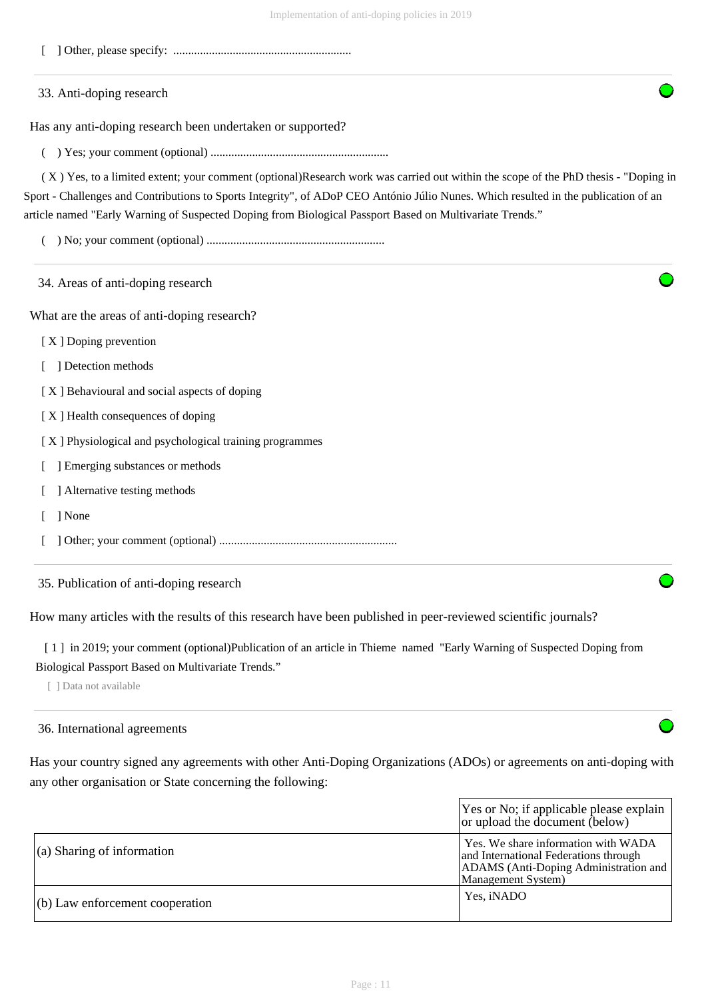- [ ] Other, please specify: ............................................................
- 33. Anti-doping research

Has any anti-doping research been undertaken or supported?

( ) Yes; your comment (optional) ............................................................

 ( X ) Yes, to a limited extent; your comment (optional)Research work was carried out within the scope of the PhD thesis - "Doping in Sport - Challenges and Contributions to Sports Integrity", of ADoP CEO António Júlio Nunes. Which resulted in the publication of an article named "Early Warning of Suspected Doping from Biological Passport Based on Multivariate Trends."

( ) No; your comment (optional) ............................................................

| 34. Areas of anti-doping research                       |  |
|---------------------------------------------------------|--|
| What are the areas of anti-doping research?             |  |
| [X] Doping prevention                                   |  |
| Detection methods                                       |  |
| [X] Behavioural and social aspects of doping            |  |
| [X] Health consequences of doping                       |  |
| [X] Physiological and psychological training programmes |  |
| Emerging substances or methods                          |  |
| Alternative testing methods                             |  |
| ] None                                                  |  |
|                                                         |  |
| 35. Publication of anti-doping research                 |  |

How many articles with the results of this research have been published in peer-reviewed scientific journals?

[1] in 2019; your comment (optional)Publication of an article in Thieme named "Early Warning of Suspected Doping from Biological Passport Based on Multivariate Trends."

[ ] Data not available

#### 36. International agreements

Has your country signed any agreements with other Anti-Doping Organizations (ADOs) or agreements on anti-doping with any other organisation or State concerning the following:

|                                    | Yes or No; if applicable please explain<br>or upload the document (below)                                                                   |
|------------------------------------|---------------------------------------------------------------------------------------------------------------------------------------------|
| $\vert$ (a) Sharing of information | Yes. We share information with WADA<br>and International Federations through<br>ADAMS (Anti-Doping Administration and<br>Management System) |
| $(6)$ Law enforcement cooperation  | Yes, iNADO                                                                                                                                  |